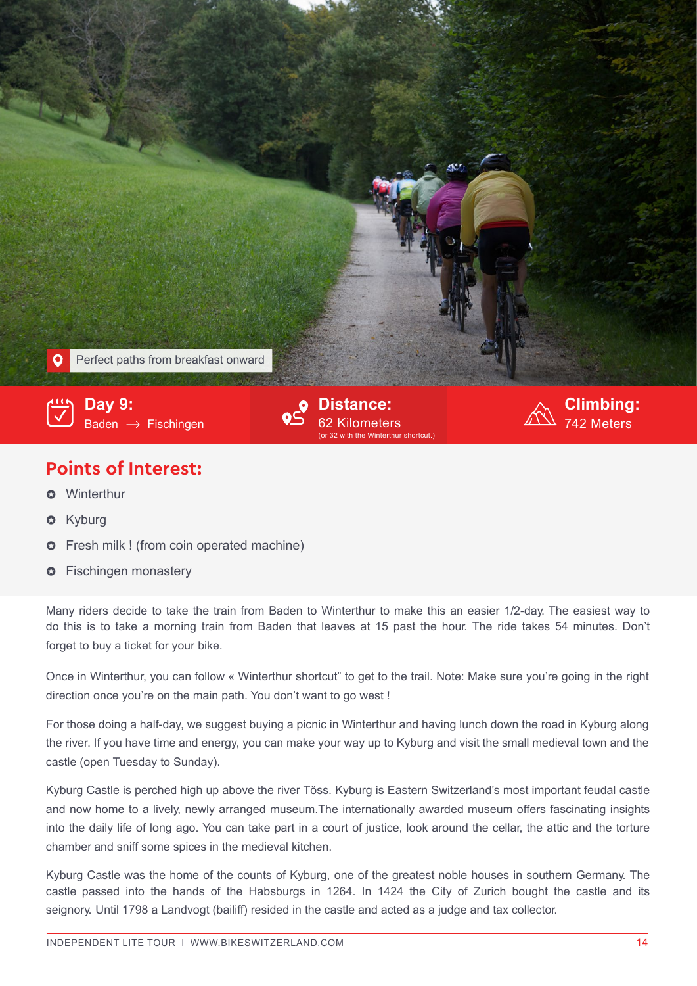

## **Points of Interest:**

- **O** Winterthur
- Kyburg  $\Omega$
- Fresh milk ! (from coin operated machine)  $\Omega$
- **O** Fischingen monastery

Many riders decide to take the train from Baden to Winterthur to make this an easier 1/2-day. The easiest way to do this is to take a morning train from Baden that leaves at 15 past the hour. The ride takes 54 minutes. Don't forget to buy a ticket for your bike.

Once in Winterthur, you can follow « Winterthur shortcut" to get to the trail. Note: Make sure you're going in the right direction once you're on the main path. You don't want to go west !

For those doing a half-day, we suggest buying a picnic in Winterthur and having lunch down the road in Kyburg along the river. If you have time and energy, you can make your way up to Kyburg and visit the small medieval town and the castle (open Tuesday to Sunday).

Kyburg Castle is perched high up above the river Töss. Kyburg is Eastern Switzerland's most important feudal castle and now home to a lively, newly arranged museum.The internationally awarded museum offers fascinating insights into the daily life of long ago. You can take part in a court of justice, look around the cellar, the attic and the torture chamber and sniff some spices in the medieval kitchen.

Kyburg Castle was the home of the counts of Kyburg, one of the greatest noble houses in southern Germany. The castle passed into the hands of the Habsburgs in 1264. In 1424 the City of Zurich bought the castle and its seignory. Until 1798 a Landvogt (bailiff) resided in the castle and acted as a judge and tax collector.